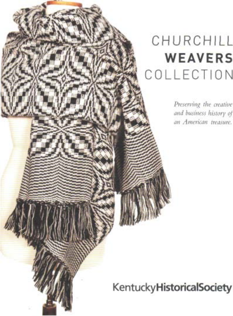### CHURCHILL **WEAVERS COLLECTION**

*Preserving the creative and business history oj an American treasure.*

**KentuckyHistoricalsociety**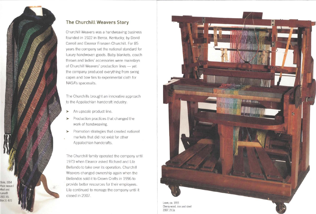

## **The Churchill Weavers Story**

Churchill Weavers was a handweaving business founded in 1922 in Berea, Kentucky, by David Carroll and Eleanor Franzen Churchill. For 85 years the company set the national standard for luxury handwoven goods. Baby blankets, couch throws and ladies' accessories were mainstays of Churchill Weavers' production lines — yet the company produced everything from swing capes and bow ties to experimental cloth for NASA's spacesuits.

The Churchills brought an innovative approach to the Appalachian handcraft industry:

- > An upscale product line.
- >• Production practices that changed the work of handweaving.
- > Promotion strategies that created national markets that did not exist for other Appalachian handcrafts.

The Churchill family operated the company until 1973 when Eleanor asked Richard and Lila Bellando to take over its operation. Churchill Weavers changed ownership again when the Bellandos sold it to Crown Crafts in 1996 to provide better resources for their employees. Lila continued to manage the company until it closed in 2007.



Loom, ca. 1955 Cherry wood, iron and steel 2007.19.la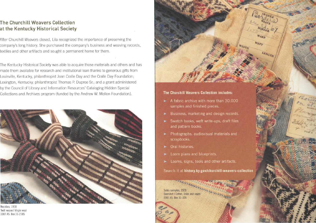## **The Churchill Weavers Collection at the Kentucky Historical Society**

After Churchill Weavers closed, Lila recognized the importance of preserving the company's long history. She purchased the company's business and weaving records, textiles and other artifacts and sought a permanent home for them.

The Kentucky Historical Society was able to acquire those materials and others and has made them available for research and institutional loan thanks to generous gifts from Louisville, Kentucky, philanthropist Joan Cralle Day and the Cralle Day Foundation; Lexington, Kentucky, philanthropist Thomas P. Dupree Sr.; and a grant administered by the Council of Library and Information Resources' Cataloging Hidden Special Collections and Archives program (funded by the Andrew W. Mellon Foundation).



Neckties, 1958 Twill weave I Virgin wool 2007.45. Box 31-2185



> A fabric archive with more than 30,000 samples and finished pieces.

• '•

LENGTH

- Business, marketing and design records.
- > Swatch books, weft write-ups, draft files and pattern books.
- > Photographs, audiovisual materials and scrapbooks.
- Oral histories.
- Loom plans and blueprints.
- $\blacktriangleright$  Looms, signs, tools and other artifacts.

Search it at **history.ky.gov/churchill-weavers-collection**

Sales samples, 1928 Overshot I Cotton, linen and rayon 2007.45.Box31-106

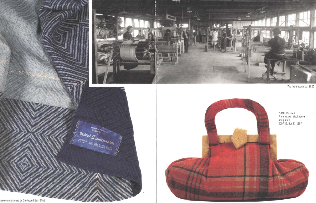

The loom house, ca. 1925



row commissioned by Greyhound Bus, 1952

Steyhound Scenterwesex